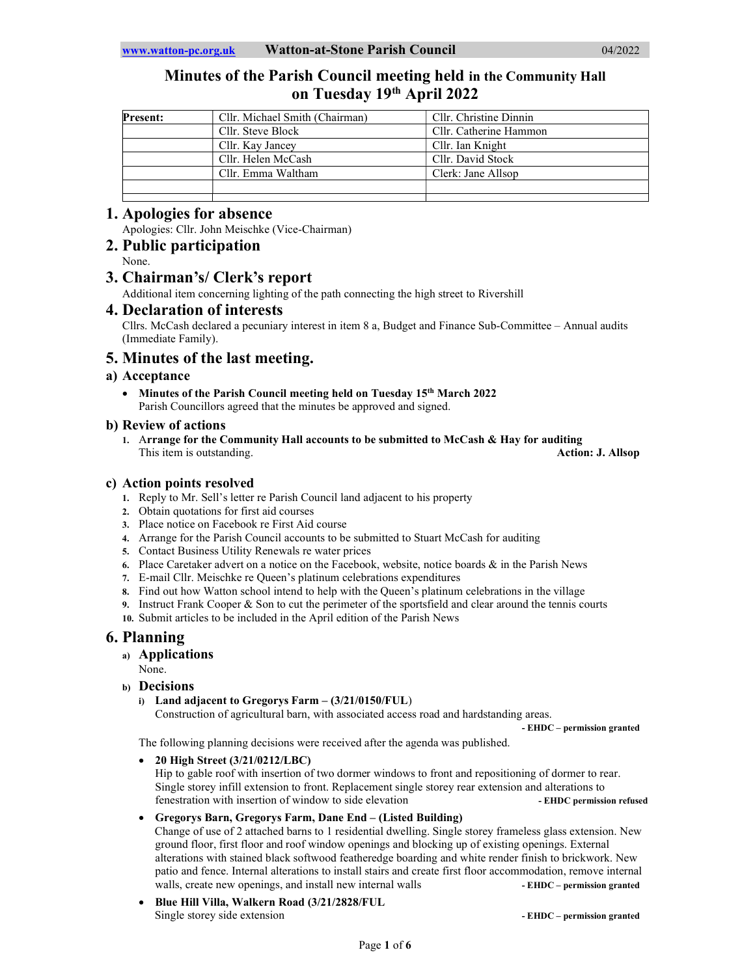# Minutes of the Parish Council meeting held in the Community Hall on Tuesday 19th April 2022

| <b>Present:</b> | Cllr. Michael Smith (Chairman) | Cllr. Christine Dinnin |  |
|-----------------|--------------------------------|------------------------|--|
|                 | Cllr. Steve Block              | Cllr. Catherine Hammon |  |
|                 | Cllr. Kay Jancey               | Cllr. Ian Knight       |  |
|                 | Cllr. Helen McCash             | Cllr. David Stock      |  |
|                 | Cllr. Emma Waltham             | Clerk: Jane Allsop     |  |
|                 |                                |                        |  |
|                 |                                |                        |  |

# 1. Apologies for absence

Apologies: Cllr. John Meischke (Vice-Chairman)

# 2. Public participation

None.

# 3. Chairman's/ Clerk's report

Additional item concerning lighting of the path connecting the high street to Rivershill

# 4. Declaration of interests

Cllrs. McCash declared a pecuniary interest in item 8 a, Budget and Finance Sub-Committee – Annual audits (Immediate Family).

# 5. Minutes of the last meeting.

# a) Acceptance

• Minutes of the Parish Council meeting held on Tuesday 15<sup>th</sup> March 2022 Parish Councillors agreed that the minutes be approved and signed.

## b) Review of actions

1. Arrange for the Community Hall accounts to be submitted to McCash & Hay for auditing This item is outstanding. This item is outstanding.

# c) Action points resolved

- 1. Reply to Mr. Sell's letter re Parish Council land adjacent to his property
- 2. Obtain quotations for first aid courses
- 3. Place notice on Facebook re First Aid course
- 4. Arrange for the Parish Council accounts to be submitted to Stuart McCash for auditing
- 5. Contact Business Utility Renewals re water prices
- 6. Place Caretaker advert on a notice on the Facebook, website, notice boards  $\&$  in the Parish News
- 7. E-mail Cllr. Meischke re Queen's platinum celebrations expenditures
- 8. Find out how Watton school intend to help with the Queen's platinum celebrations in the village
- Instruct Frank Cooper & Son to cut the perimeter of the sportsfield and clear around the tennis courts
- 10. Submit articles to be included in the April edition of the Parish News

# 6. Planning

- a) Applications
	- None.
- b) Decisions
	- i) Land adjacent to Gregorys Farm (3/21/0150/FUL)

Construction of agricultural barn, with associated access road and hardstanding areas.

The following planning decisions were received after the agenda was published.

20 High Street (3/21/0212/LBC)

Hip to gable roof with insertion of two dormer windows to front and repositioning of dormer to rear. Single storey infill extension to front. Replacement single storey rear extension and alterations to fenestration with insertion of window to side elevation - EHDC permission refused

# Gregorys Barn, Gregorys Farm, Dane End – (Listed Building)

Change of use of 2 attached barns to 1 residential dwelling. Single storey frameless glass extension. New ground floor, first floor and roof window openings and blocking up of existing openings. External alterations with stained black softwood featheredge boarding and white render finish to brickwork. New patio and fence. Internal alterations to install stairs and create first floor accommodation, remove internal walls, create new openings, and install new internal walls **- EHDC** – permission granted

 Blue Hill Villa, Walkern Road (3/21/2828/FUL Single storey side extension  $\blacksquare$ 

- EHDC – permission granted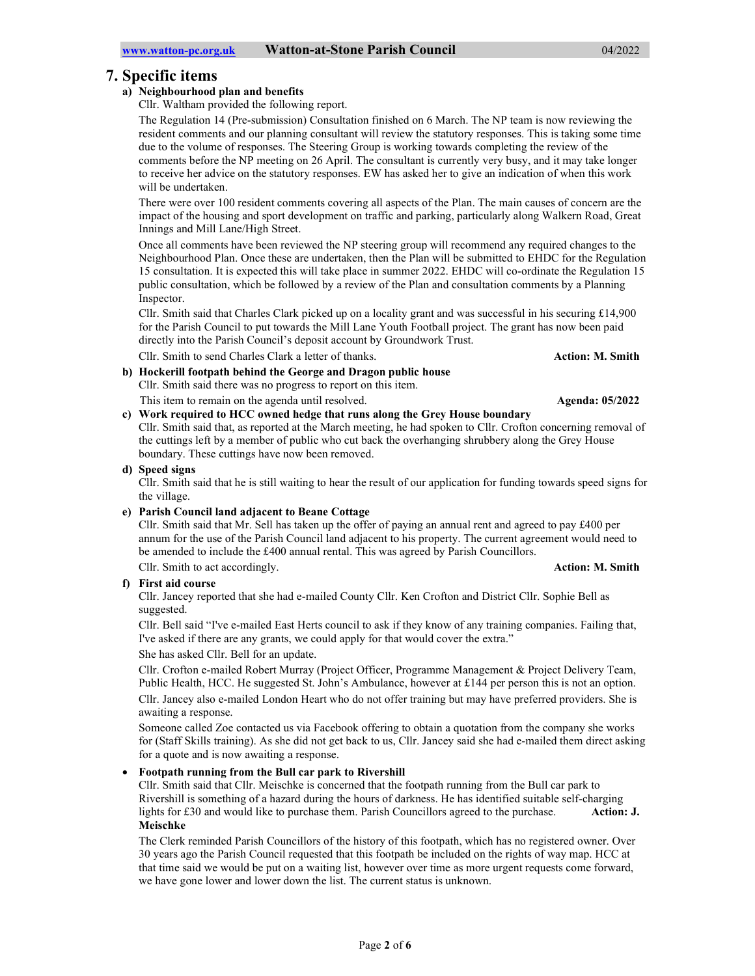# 7. Specific items

## a) Neighbourhood plan and benefits

Cllr. Waltham provided the following report.

The Regulation 14 (Pre-submission) Consultation finished on 6 March. The NP team is now reviewing the resident comments and our planning consultant will review the statutory responses. This is taking some time due to the volume of responses. The Steering Group is working towards completing the review of the comments before the NP meeting on 26 April. The consultant is currently very busy, and it may take longer to receive her advice on the statutory responses. EW has asked her to give an indication of when this work will be undertaken.

There were over 100 resident comments covering all aspects of the Plan. The main causes of concern are the impact of the housing and sport development on traffic and parking, particularly along Walkern Road, Great Innings and Mill Lane/High Street.

Once all comments have been reviewed the NP steering group will recommend any required changes to the Neighbourhood Plan. Once these are undertaken, then the Plan will be submitted to EHDC for the Regulation 15 consultation. It is expected this will take place in summer 2022. EHDC will co-ordinate the Regulation 15 public consultation, which be followed by a review of the Plan and consultation comments by a Planning Inspector.

Cllr. Smith said that Charles Clark picked up on a locality grant and was successful in his securing £14,900 for the Parish Council to put towards the Mill Lane Youth Football project. The grant has now been paid directly into the Parish Council's deposit account by Groundwork Trust.

Cllr. Smith to send Charles Clark a letter of thanks. Action: M. Smith

## b) Hockerill footpath behind the George and Dragon public house Cllr. Smith said there was no progress to report on this item. This item to remain on the agenda until resolved. Agenda: 05/2022

c) Work required to HCC owned hedge that runs along the Grey House boundary Cllr. Smith said that, as reported at the March meeting, he had spoken to Cllr. Crofton concerning removal of the cuttings left by a member of public who cut back the overhanging shrubbery along the Grey House boundary. These cuttings have now been removed.

## d) Speed signs

Cllr. Smith said that he is still waiting to hear the result of our application for funding towards speed signs for the village.

### e) Parish Council land adjacent to Beane Cottage

Cllr. Smith said that Mr. Sell has taken up the offer of paying an annual rent and agreed to pay £400 per annum for the use of the Parish Council land adjacent to his property. The current agreement would need to be amended to include the £400 annual rental. This was agreed by Parish Councillors.

Cllr. Smith to act accordingly. Action: M. Smith to act accordingly.

f) First aid course

Cllr. Jancey reported that she had e-mailed County Cllr. Ken Crofton and District Cllr. Sophie Bell as suggested.

Cllr. Bell said "I've e-mailed East Herts council to ask if they know of any training companies. Failing that, I've asked if there are any grants, we could apply for that would cover the extra."

She has asked Cllr. Bell for an update.

Cllr. Crofton e-mailed Robert Murray (Project Officer, Programme Management & Project Delivery Team, Public Health, HCC. He suggested St. John's Ambulance, however at £144 per person this is not an option. Cllr. Jancey also e-mailed London Heart who do not offer training but may have preferred providers. She is awaiting a response.

Someone called Zoe contacted us via Facebook offering to obtain a quotation from the company she works for (Staff Skills training). As she did not get back to us, Cllr. Jancey said she had e-mailed them direct asking for a quote and is now awaiting a response.

# Footpath running from the Bull car park to Rivershill

Cllr. Smith said that Cllr. Meischke is concerned that the footpath running from the Bull car park to Rivershill is something of a hazard during the hours of darkness. He has identified suitable self-charging lights for £30 and would like to purchase them. Parish Councillors agreed to the purchase. Action: **J.** Meischke

The Clerk reminded Parish Councillors of the history of this footpath, which has no registered owner. Over 30 years ago the Parish Council requested that this footpath be included on the rights of way map. HCC at that time said we would be put on a waiting list, however over time as more urgent requests come forward, we have gone lower and lower down the list. The current status is unknown.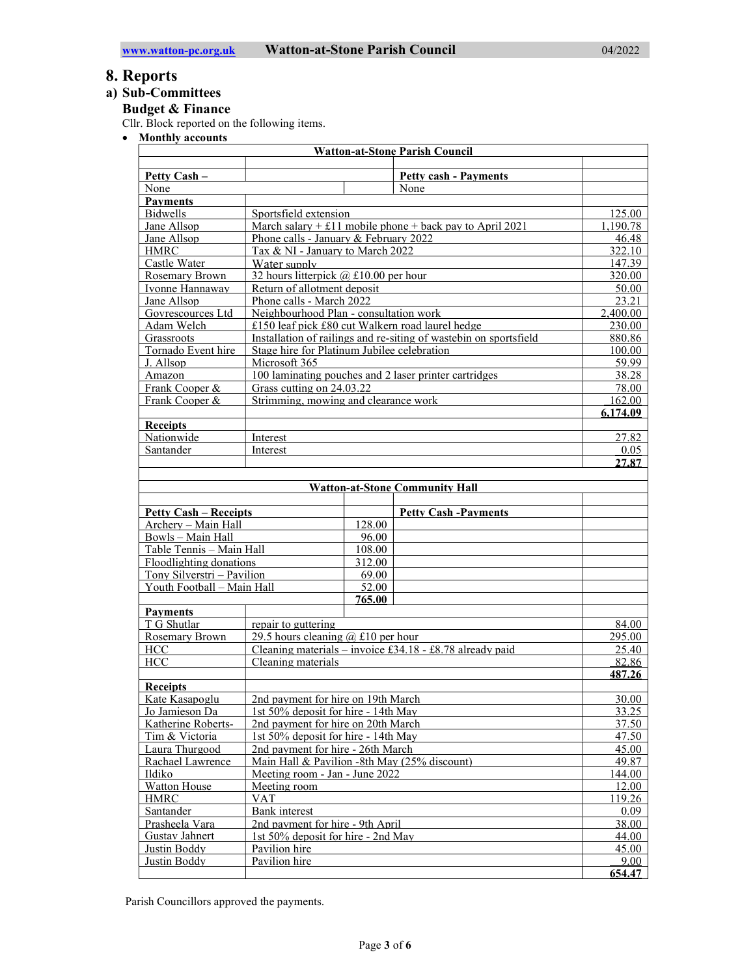# 8. Reports

# a) Sub-Committees

Budget & Finance

Cllr. Block reported on the following items.

• Monthly accounts

| <b>Watton-at-Stone Parish Council</b>                                     |                                                          |                                                                   |                                                          |          |  |  |
|---------------------------------------------------------------------------|----------------------------------------------------------|-------------------------------------------------------------------|----------------------------------------------------------|----------|--|--|
| Petty Cash -                                                              |                                                          |                                                                   | <b>Petty cash - Payments</b>                             |          |  |  |
| None                                                                      |                                                          |                                                                   | None                                                     |          |  |  |
| <b>Payments</b>                                                           |                                                          |                                                                   |                                                          |          |  |  |
| <b>Bidwells</b>                                                           | Sportsfield extension                                    |                                                                   |                                                          | 125.00   |  |  |
| Jane Allsop                                                               |                                                          |                                                                   | March salary + £11 mobile phone + back pay to April 2021 | 1.190.78 |  |  |
| Jane Allsop                                                               |                                                          | Phone calls - January & February 2022                             |                                                          | 46.48    |  |  |
| <b>HMRC</b><br>Tax & NI - January to March 2022                           |                                                          |                                                                   |                                                          | 322.10   |  |  |
| Castle Water                                                              | Water supply                                             |                                                                   |                                                          | 147.39   |  |  |
| 32 hours litterpick $(a) \pounds 10.00$ per hour<br><b>Rosemary Brown</b> |                                                          |                                                                   |                                                          | 320.00   |  |  |
| Ivonne Hannaway                                                           | Return of allotment deposit                              |                                                                   |                                                          | 50.00    |  |  |
| Jane Allsop                                                               | Phone calls - March 2022                                 |                                                                   |                                                          | 23.21    |  |  |
| Neighbourhood Plan - consultation work<br>Govrescources Ltd               |                                                          |                                                                   |                                                          | 2,400.00 |  |  |
| Adam Welch                                                                |                                                          | £150 leaf pick £80 cut Walkern road laurel hedge                  |                                                          | 230.00   |  |  |
| Grassroots                                                                |                                                          | Installation of railings and re-siting of wastebin on sportsfield |                                                          | 880.86   |  |  |
| Stage hire for Platinum Jubilee celebration<br>Tornado Event hire         |                                                          |                                                                   |                                                          | 100.00   |  |  |
| J. Allsop                                                                 | Microsoft 365                                            |                                                                   |                                                          | 59.99    |  |  |
| Amazon                                                                    |                                                          | 100 laminating pouches and 2 laser printer cartridges             |                                                          | 38.28    |  |  |
| Frank Cooper &<br>Grass cutting on 24.03.22                               |                                                          |                                                                   |                                                          | 78.00    |  |  |
| Frank Cooper &                                                            | Strimming, mowing and clearance work                     |                                                                   |                                                          | 162.00   |  |  |
|                                                                           |                                                          |                                                                   |                                                          | 6.174.09 |  |  |
| <b>Receipts</b>                                                           |                                                          |                                                                   |                                                          |          |  |  |
| Nationwide                                                                | Interest                                                 |                                                                   |                                                          | 27.82    |  |  |
| Santander<br>Interest                                                     |                                                          |                                                                   |                                                          | 0.05     |  |  |
|                                                                           |                                                          |                                                                   |                                                          | 27.87    |  |  |
|                                                                           |                                                          |                                                                   |                                                          |          |  |  |
|                                                                           |                                                          |                                                                   | <b>Watton-at-Stone Community Hall</b>                    |          |  |  |
|                                                                           |                                                          |                                                                   |                                                          |          |  |  |
| <b>Petty Cash – Receipts</b>                                              |                                                          |                                                                   | <b>Petty Cash -Payments</b>                              |          |  |  |
| Archery - Main Hall                                                       |                                                          | 128.00                                                            |                                                          |          |  |  |
| Bowls - Main Hall                                                         |                                                          | 96.00                                                             |                                                          |          |  |  |
| Table Tennis - Main Hall                                                  |                                                          | 108.00                                                            |                                                          |          |  |  |
| Floodlighting donations                                                   |                                                          | 312.00                                                            |                                                          |          |  |  |
| Tony Silverstri - Pavilion                                                |                                                          | 69.00                                                             |                                                          |          |  |  |
| Youth Football - Main Hall                                                |                                                          | 52.00                                                             |                                                          |          |  |  |
|                                                                           |                                                          | 765.00                                                            |                                                          |          |  |  |
| <b>Payments</b>                                                           |                                                          |                                                                   |                                                          |          |  |  |
| T G Shutlar                                                               | repair to guttering                                      |                                                                   |                                                          | 84.00    |  |  |
| 29.5 hours cleaning $(a)$ £10 per hour<br><b>Rosemary Brown</b>           |                                                          |                                                                   |                                                          | 295.00   |  |  |
| HCC                                                                       | Cleaning materials – invoice £34.18 - £8.78 already paid |                                                                   |                                                          | 25.40    |  |  |
| <b>HCC</b>                                                                | Cleaning materials                                       |                                                                   |                                                          | 82.86    |  |  |
|                                                                           |                                                          |                                                                   |                                                          | 487.26   |  |  |
| <b>Receipts</b>                                                           |                                                          |                                                                   |                                                          |          |  |  |
| Kate Kasapoglu<br>2nd payment for hire on 19th March                      |                                                          |                                                                   | 30.00                                                    |          |  |  |
| Jo Jamieson Da                                                            | 1st 50% deposit for hire - 14th May                      |                                                                   |                                                          | 33.25    |  |  |
| Katherine Roberts-<br>2nd payment for hire on 20th March                  |                                                          |                                                                   |                                                          | 37.50    |  |  |
| Tim & Victoria<br>1st 50% deposit for hire - 14th May                     |                                                          |                                                                   |                                                          | 47.50    |  |  |
| Laura Thurgood<br>2nd payment for hire - 26th March                       |                                                          |                                                                   | 45.00                                                    |          |  |  |
| Rachael Lawrence                                                          |                                                          | Main Hall & Pavilion -8th May (25% discount)                      |                                                          | 49.87    |  |  |
| Ildiko<br>Meeting room - Jan - June 2022                                  |                                                          |                                                                   |                                                          | 144.00   |  |  |
| Watton House<br>Meeting room                                              |                                                          |                                                                   |                                                          | 12.00    |  |  |
| <b>HMRC</b>                                                               | <b>VAT</b>                                               |                                                                   |                                                          | 119.26   |  |  |
| Santander                                                                 | Bank interest                                            |                                                                   | 0.09                                                     |          |  |  |
| Prasheela Vara                                                            | 2nd payment for hire - 9th April                         |                                                                   |                                                          | 38.00    |  |  |
| Gustav Jahnert                                                            | 1st 50% deposit for hire - 2nd May                       |                                                                   | 44.00                                                    |          |  |  |
| Justin Boddy                                                              | Pavilion hire                                            |                                                                   |                                                          | 45.00    |  |  |
| Justin Boddy                                                              | Pavilion hire                                            |                                                                   |                                                          | 9.00     |  |  |
|                                                                           |                                                          |                                                                   |                                                          | 654.47   |  |  |

Parish Councillors approved the payments.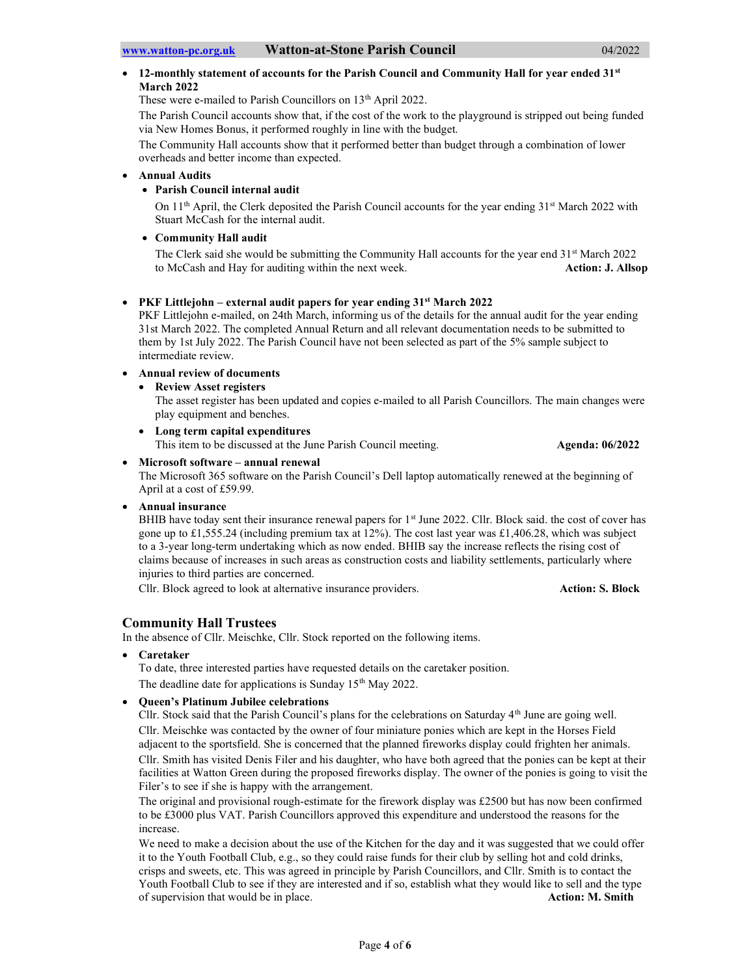## 12-monthly statement of accounts for the Parish Council and Community Hall for year ended 31st March 2022

These were e-mailed to Parish Councillors on 13<sup>th</sup> April 2022.

The Parish Council accounts show that, if the cost of the work to the playground is stripped out being funded via New Homes Bonus, it performed roughly in line with the budget.

The Community Hall accounts show that it performed better than budget through a combination of lower overheads and better income than expected.

#### Annual Audits

# Parish Council internal audit

On 11<sup>th</sup> April, the Clerk deposited the Parish Council accounts for the year ending 31<sup>st</sup> March 2022 with Stuart McCash for the internal audit.

#### Community Hall audit

The Clerk said she would be submitting the Community Hall accounts for the year end  $31<sup>st</sup>$  March 2022 to McCash and Hay for auditing within the next week. Action: J. Allsop

#### • PKF Littlejohn – external audit papers for year ending  $31<sup>st</sup>$  March 2022

PKF Littlejohn e-mailed, on 24th March, informing us of the details for the annual audit for the year ending 31st March 2022. The completed Annual Return and all relevant documentation needs to be submitted to them by 1st July 2022. The Parish Council have not been selected as part of the 5% sample subject to intermediate review.

## Annual review of documents

Review Asset registers

The asset register has been updated and copies e-mailed to all Parish Councillors. The main changes were play equipment and benches.

 Long term capital expenditures This item to be discussed at the June Parish Council meeting. Agenda: 06/2022

#### Microsoft software – annual renewal

The Microsoft 365 software on the Parish Council's Dell laptop automatically renewed at the beginning of April at a cost of £59.99.

Annual insurance

BHIB have today sent their insurance renewal papers for 1<sup>st</sup> June 2022. Cllr. Block said. the cost of cover has gone up to £1,555.24 (including premium tax at 12%). The cost last year was £1,406.28, which was subject to a 3-year long-term undertaking which as now ended. BHIB say the increase reflects the rising cost of claims because of increases in such areas as construction costs and liability settlements, particularly where injuries to third parties are concerned.

Cllr. Block agreed to look at alternative insurance providers. Action: S. Block

# Community Hall Trustees

In the absence of Cllr. Meischke, Cllr. Stock reported on the following items.

Caretaker

To date, three interested parties have requested details on the caretaker position. The deadline date for applications is Sunday 15<sup>th</sup> May 2022.

### Queen's Platinum Jubilee celebrations

Cllr. Stock said that the Parish Council's plans for the celebrations on Saturday 4<sup>th</sup> June are going well. Cllr. Meischke was contacted by the owner of four miniature ponies which are kept in the Horses Field adjacent to the sportsfield. She is concerned that the planned fireworks display could frighten her animals. Cllr. Smith has visited Denis Filer and his daughter, who have both agreed that the ponies can be kept at their facilities at Watton Green during the proposed fireworks display. The owner of the ponies is going to visit the Filer's to see if she is happy with the arrangement.

The original and provisional rough-estimate for the firework display was £2500 but has now been confirmed to be £3000 plus VAT. Parish Councillors approved this expenditure and understood the reasons for the increase.

We need to make a decision about the use of the Kitchen for the day and it was suggested that we could offer it to the Youth Football Club, e.g., so they could raise funds for their club by selling hot and cold drinks, crisps and sweets, etc. This was agreed in principle by Parish Councillors, and Cllr. Smith is to contact the Youth Football Club to see if they are interested and if so, establish what they would like to sell and the type of supervision that would be in place. Action: M. Smith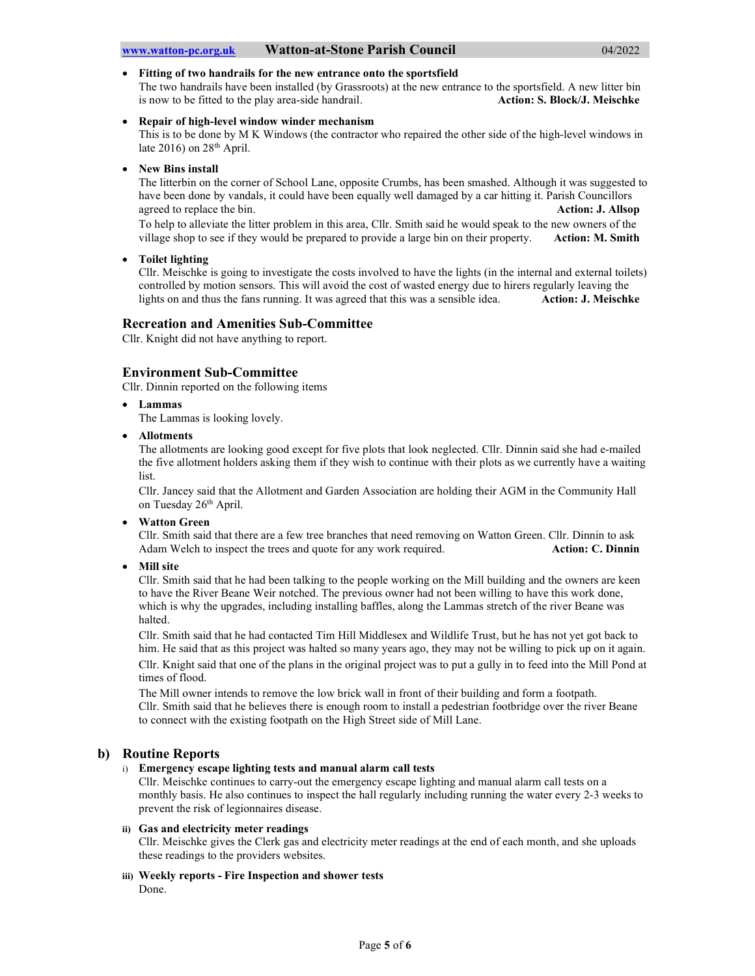#### Fitting of two handrails for the new entrance onto the sportsfield

The two handrails have been installed (by Grassroots) at the new entrance to the sportsfield. A new litter bin is now to be fitted to the play area-side handrail. Action: S. Block/J. Meischke

#### Repair of high-level window winder mechanism

This is to be done by M K Windows (the contractor who repaired the other side of the high-level windows in late 2016) on  $28<sup>th</sup>$  April.

#### New Bins install

The litterbin on the corner of School Lane, opposite Crumbs, has been smashed. Although it was suggested to have been done by vandals, it could have been equally well damaged by a car hitting it. Parish Councillors agreed to replace the bin. **Action: J. Allsop** 

To help to alleviate the litter problem in this area, Cllr. Smith said he would speak to the new owners of the village shop to see if they would be prepared to provide a large bin on their property. Action: M. Smith

#### Toilet lighting

Cllr. Meischke is going to investigate the costs involved to have the lights (in the internal and external toilets) controlled by motion sensors. This will avoid the cost of wasted energy due to hirers regularly leaving the lights on and thus the fans running. It was agreed that this was a sensible idea. Action: J. Meischke

#### Recreation and Amenities Sub-Committee

Cllr. Knight did not have anything to report.

### Environment Sub-Committee

Cllr. Dinnin reported on the following items

Lammas

The Lammas is looking lovely.

Allotments

The allotments are looking good except for five plots that look neglected. Cllr. Dinnin said she had e-mailed the five allotment holders asking them if they wish to continue with their plots as we currently have a waiting list.

Cllr. Jancey said that the Allotment and Garden Association are holding their AGM in the Community Hall on Tuesday 26th April.

Watton Green

Cllr. Smith said that there are a few tree branches that need removing on Watton Green. Cllr. Dinnin to ask Adam Welch to inspect the trees and quote for any work required. Action: C. Dinnin

Mill site

Cllr. Smith said that he had been talking to the people working on the Mill building and the owners are keen to have the River Beane Weir notched. The previous owner had not been willing to have this work done, which is why the upgrades, including installing baffles, along the Lammas stretch of the river Beane was halted.

Cllr. Smith said that he had contacted Tim Hill Middlesex and Wildlife Trust, but he has not yet got back to him. He said that as this project was halted so many years ago, they may not be willing to pick up on it again. Cllr. Knight said that one of the plans in the original project was to put a gully in to feed into the Mill Pond at times of flood.

The Mill owner intends to remove the low brick wall in front of their building and form a footpath. Cllr. Smith said that he believes there is enough room to install a pedestrian footbridge over the river Beane to connect with the existing footpath on the High Street side of Mill Lane.

### b) Routine Reports

#### i) Emergency escape lighting tests and manual alarm call tests

Cllr. Meischke continues to carry-out the emergency escape lighting and manual alarm call tests on a monthly basis. He also continues to inspect the hall regularly including running the water every 2-3 weeks to prevent the risk of legionnaires disease.

#### ii) Gas and electricity meter readings

Cllr. Meischke gives the Clerk gas and electricity meter readings at the end of each month, and she uploads these readings to the providers websites.

# iii) Weekly reports - Fire Inspection and shower tests

Done.